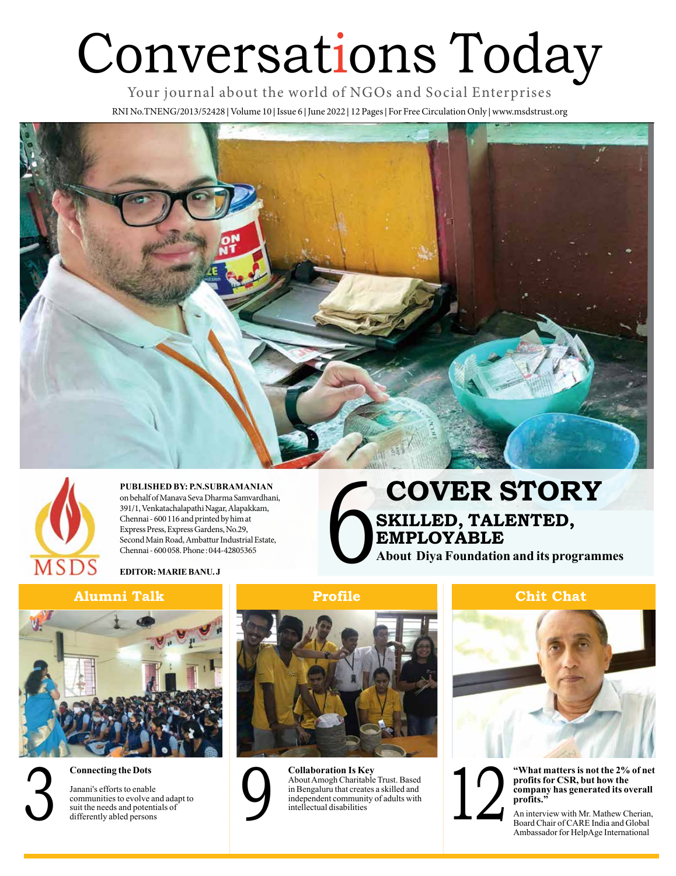# Conversations Today

Your journal about the world of NGOs and Social Enterprises RNI No.TNENG/2013/52428 **|** Volume 10 **|** Issue 6 **|** June 2022 **|** 12 Pages **|** For Free Circulation Only **|** www.msdstrust.org





**PUBLISHED BY: P.N.SUBRAMANIAN**  on behalf of Manava Seva Dharma Samvardhani, 391/1, Venkatachalapathi Nagar, Alapakkam, Chennai - 600 116 and printed by him at Express Press, Express Gardens, No.29, Second Main Road, Ambattur Industrial Estate, Chennai - 600 058. Phone : 044-42805365

**EDITOR: MARIE BANU. J**

## **COVER STORY**<br>SKILLED, TALENTED,<br>EMPLOYABLE<br>About Diya Foundation and its program **SKILLED, TALENTED, EMPLOYABLE About Diya Foundation and its programmes**

### **Alumni Talk**







#### **Connecting the Dots**

Janani's efforts to enable communities to evolve and adapt to suit the needs and potentials of differently abled persons







**Example 1998**<br>
Janani's efforts to enable<br>
sommunities to evolve and adapt to<br>
suit the needs and potentials of<br>
airefferently abled persons<br>
airefferently abled persons<br>
ambassador for HelpA ge International<br>
ambassador **profits for CSR, but how the company has generated its overall profits."** 

An interview with Mr. Mathew Cherian, Board Chair of CARE India and Global Ambassador for HelpAge International

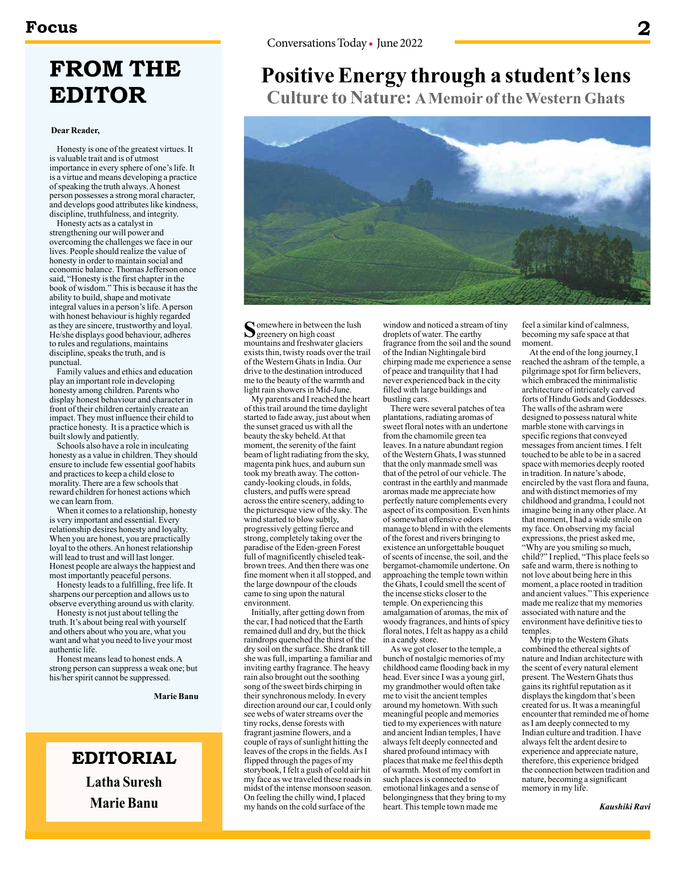## **FROM THE EDITOR**

#### **Dear Reader,**

Honesty is one of the greatest virtues. It is valuable trait and is  $\vec{\text{of}}$  utmost importance in every sphere of one's life. It is a virtue and means developing a practice of speaking the truth always. A honest person possesses a strong moral character, and develops good attributes like kindness, discipline, truthfulness, and integrity.

Honesty acts as a catalyst in strengthening our will power and overcoming the challenges we face in our lives. People should realize the value of honesty in order to maintain social and economic balance. Thomas Jefferson once said, "Honesty is the first chapter in the book of wisdom." This is because it has the ability to build, shape and motivate integral values in a person's life. A person with honest behaviour is highly regarded as they are sincere, trustworthy and loyal. He/she displays good behaviour, adheres to rules and regulations, maintains discipline, speaks the truth, and is punctual.

Family values and ethics and education play an important role in developing honesty among children. Parents who display honest behaviour and character in front of their children certainly create an impact. They must influence their child to practice honesty. It is a practice which is built slowly and patiently.

Schools also have a role in inculcating honesty as a value in children. They should ensure to include few essential goof habits and practices to keep a child close to morality. There are a few schools that reward children for honest actions which we can learn from.

When it comes to a relationship, honesty is very important and essential. Every relationship desires honesty and loyalty. When you are honest, you are practically loyal to the others. An honest relationship will lead to trust and will last longer. Honest people are always the happiest and most importantly peaceful persons.

Honesty leads to a fulfilling, free life. It sharpens our perception and allows us to observe everything around us with clarity.

Honesty is not just about telling the truth. It's about being real with yourself and others about who you are, what you want and what you need to live your most authentic life.

Honest means lead to honest ends. A strong person can suppress a weak one; but his/her spirit cannot be suppressed.

**Marie Banu**

**EDITORIAL Latha Suresh Marie Banu**

### **Positive Energy through a student's lens**

**Culture to Nature: A Memoir of the Western Ghats**



Somewhere in between the lush<br>greenery on high coast<br>monoting on disclassing also intermountains and freshwater glaciers exists thin, twisty roads over the trail of the Western Ghats in India. Our drive to the destination introduced me to the beauty of the warmth and light rain showers in Mid-June.

My parents and I reached the heart of this trail around the time daylight started to fade away, just about when the sunset graced us with all the beauty the sky beheld. At that moment, the serenity of the faint beam of light radiating from the sky, magenta pink hues, and auburn sun took my breath away. The cottoncandy-looking clouds, in folds, clusters, and puffs were spread across the entire scenery, adding to the picturesque view of the sky. The wind started to blow subtly, progressively getting fierce and strong, completely taking over the paradise of the Eden-green Forest full of magnificently chiseled teakbrown trees. And then there was one fine moment when it all stopped, and the large downpour of the clouds came to sing upon the natural environment.

Initially, after getting down from the car, I had noticed that the Earth remained dull and dry, but the thick raindrops quenched the thirst of the dry soil on the surface. She drank till she was full, imparting a familiar and inviting earthy fragrance. The heavy rain also brought out the soothing song of the sweet birds chirping in their synchronous melody. In every direction around our car, I could only see webs of water streams over the tiny rocks, dense forests with fragrant jasmine flowers, and a couple of rays of sunlight hitting the leaves of the crops in the fields. As I flipped through the pages of my storybook, I felt a gush of cold air hit my face as we traveled these roads in midst of the intense monsoon season. On feeling the chilly wind, I placed my hands on the cold surface of the

window and noticed a stream of tiny droplets of water. The earthy fragrance from the soil and the sound of the Indian Nightingale bird chirping made me experience a sense of peace and tranquility that I had never experienced back in the city filled with large buildings and bustling cars.

There were several patches of tea plantations, radiating aromas of sweet floral notes with an undertone from the chamomile green tea leaves. In a nature abundant region of the Western Ghats, I was stunned that the only manmade smell was that of the petrol of our vehicle. The contrast in the earthly and manmade aromas made me appreciate how perfectly nature complements every aspect of its composition. Even hints of somewhat offensive odors manage to blend in with the elements of the forest and rivers bringing to existence an unforgettable bouquet of scents of incense, the soil, and the bergamot-chamomile undertone. On approaching the temple town within the Ghats, I could smell the scent of the incense sticks closer to the temple. On experiencing this amalgamation of aromas, the mix of woody fragrances, and hints of spicy floral notes, I felt as happy as a child in a candy store.

As we got closer to the temple, a bunch of nostalgic memories of my childhood came flooding back in my head. Ever since I was a young girl, my grandmother would often take me to visit the ancient temples around my hometown. With such meaningful people and memories tied to my experiences with nature and ancient Indian temples, I have always felt deeply connected and shared profound intimacy with places that make me feel this depth of warmth. Most of my comfort in such places is connected to emotional linkages and a sense of belongingness that they bring to my heart. This temple town made me

feel a similar kind of calmness, becoming my safe space at that moment.

At the end of the long journey, I reached the ashram of the temple, a pilgrimage spot for firm believers,  $\overline{r}$  which embraced the minimalistic architecture of intricately carved forts of Hindu Gods and Goddesses. The walls of the ashram were designed to possess natural white marble stone with carvings in specific regions that conveyed messages from ancient times. I felt touched to be able to be in a sacred space with memories deeply rooted in tradition. In nature's abode, encircled by the vast flora and fauna, and with distinct memories of my childhood and grandma, I could not imagine being in any other place. At that moment, I had a wide smile on my face. On observing my facial expressions, the priest asked me, "Why are you smiling so much, child?" I replied, "This place feels so safe and warm, there is nothing to not love about being here in this moment, a place rooted in tradition and ancient values." This experience made me realize that my memories associated with nature and the environment have definitive ties to temples.

My trip to the Western Ghats combined the ethereal sights of nature and Indian architecture with the scent of every natural element present. The Western Ghats thus gains its rightful reputation as it displays the kingdom that's been created for us. It was a meaningful encounter that reminded me of home as I am deeply connected to my Indian culture and tradition. I have always felt the ardent desire to experience and appreciate nature, therefore, this experience bridged the connection between tradition and nature, becoming a significant memory in my life.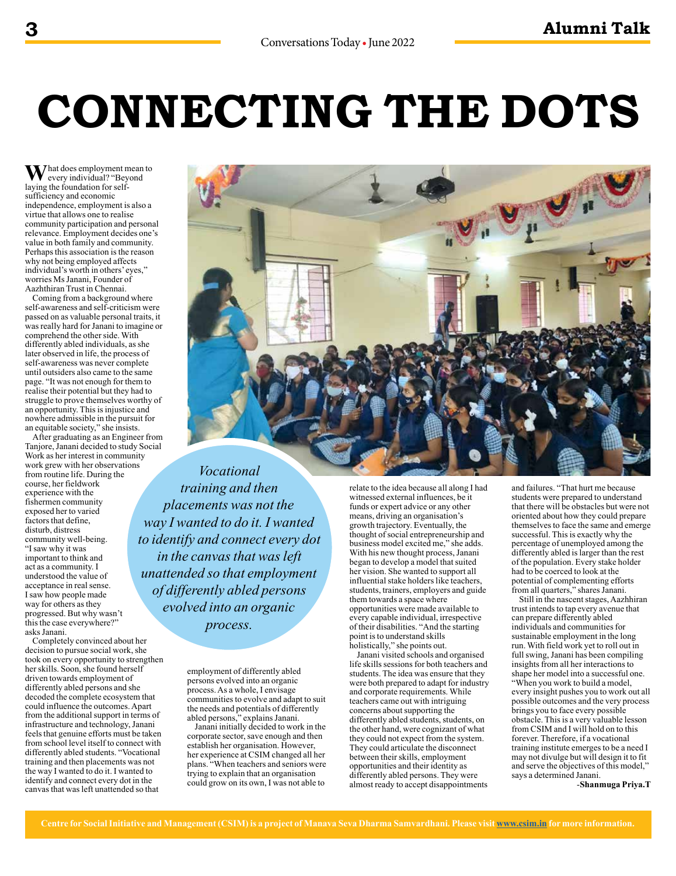# **CONNECTING THE DOTS**

What does employment mean to every individual? "Beyond laying the foundation for selfsufficiency and economic independence, employment is also a virtue that allows one to realise community participation and personal relevance. Employment decides one's value in both family and community. Perhaps this association is the reason why not being employed affects individual's worth in others' eyes," worries Ms Janani, Founder of Aazhthiran Trust in Chennai.

Coming from a background where self-awareness and self-criticism were passed on as valuable personal traits, it was really hard for Janani to imagine or comprehend the other side. With differently abled individuals, as she later observed in life, the process of self-awareness was never complete until outsiders also came to the same page. "It was not enough for them to realise their potential but they had to struggle to prove themselves worthy of an opportunity. This is injustice and nowhere admissible in the pursuit for an equitable society," she insists.

After graduating as an Engineer from Tanjore, Janani decided to study Social Work as her interest in community work grew with her observations from routine life. During the course, her fieldwork experience with the fishermen community exposed her to varied factors that define, disturb, distress community well-being. "I saw why it was important to think and act as a community. I understood the value of acceptance in real sense. I saw how people made way for others as they progressed. But why wasn't this the case everywhere?" asks Janani.

Completely convinced about her decision to pursue social work, she took on every opportunity to strengthen her skills. Soon, she found herself driven towards employment of differently abled persons and she decoded the complete ecosystem that could influence the outcomes. Apart from the additional support in terms of infrastructure and technology, Janani feels that genuine efforts must be taken from school level itself to connect with differently abled students. "Vocational training and then placements was not the way I wanted to do it. I wanted to identify and connect every dot in the canvas that was left unattended so that

*Vocational training and then placements was not the way I wanted to do it. I wanted to identify and connect every dot in the canvas that was left unattended so that employment of differently abled persons evolved into an organic process.*

> employment of differently abled persons evolved into an organic process. As a whole, I envisage communities to evolve and adapt to suit the needs and potentials of differently

> abled persons," explains Janani. Janani initially decided to work in the corporate sector, save enough and then establish her organisation. However, her experience at CSIM changed all her plans. "When teachers and seniors were trying to explain that an organisation could grow on its own, I was not able to

relate to the idea because all along I had witnessed external influences, be it funds or expert advice or any other means, driving an organisation's growth trajectory. Eventually, the thought of social entrepreneurship and business model excited me," she adds. With his new thought process, Janani began to develop a model that suited her vision. She wanted to support all influential stake holders like teachers, students, trainers, employers and guide them towards a space where opportunities were made available to every capable individual, irrespective of their disabilities. "And the starting point is to understand skills

holistically," she points out. Janani visited schools and organised life skills sessions for both teachers and students. The idea was ensure that they were both prepared to adapt for industry and corporate requirements. While teachers came out with intriguing concerns about supporting the differently abled students, students, on the other hand, were cognizant of what they could not expect from the system. They could articulate the disconnect between their skills, employment opportunities and their identity as differently abled persons. They were almost ready to accept disappointments

and failures. "That hurt me because students were prepared to understand that there will be obstacles but were not oriented about how they could prepare themselves to face the same and emerge successful. This is exactly why the percentage of unemployed among the differently abled is larger than the rest of the population. Every stake holder had to be coerced to look at the potential of complementing efforts from all quarters," shares Janani.

Still in the nascent stages, Aazhhiran trust intends to tap every avenue that can prepare differently abled individuals and communities for sustainable employment in the long run. With field work yet to roll out in full swing, Janani has been compiling insights from all her interactions to shape her model into a successful one. "When you work to build a model, every insight pushes you to work out all possible outcomes and the very process brings you to face every possible obstacle. This is a very valuable lesson from CSIM and I will hold on to this forever. Therefore, if a vocational training institute emerges to be a need I may not divulge but will design it to fit and serve the objectives of this model," says a determined Janani.

-**Shanmuga Priya.T**



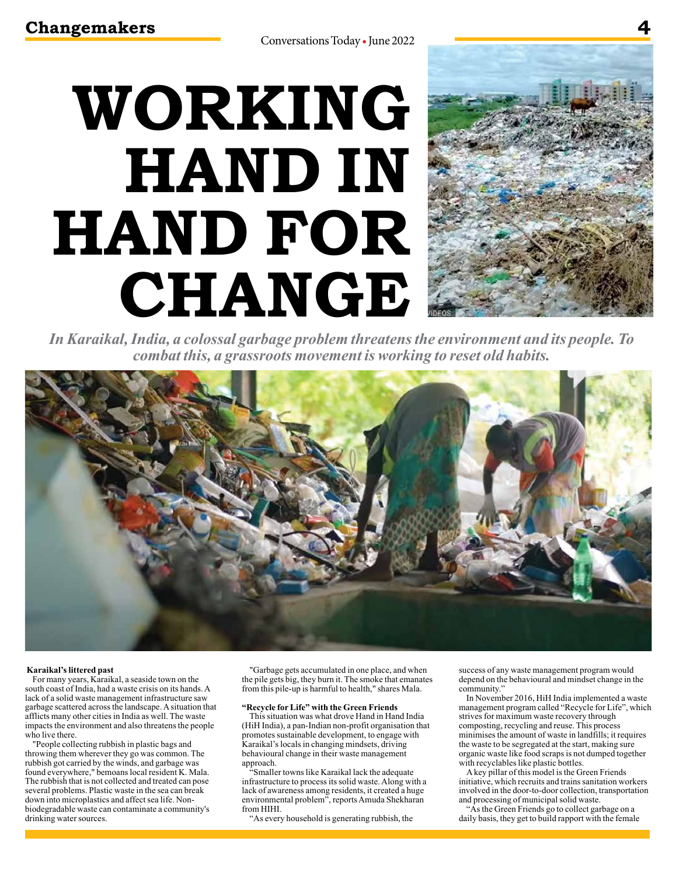# **WORKING HAND IN HAND FOR CHANGE**



*In Karaikal, India, a colossal garbage problem threatens the environment and its people. To combat this, a grassroots movement is working to reset old habits.*



#### **Karaikal's littered past**

For many years, Karaikal, a seaside town on the south coast of India, had a waste crisis on its hands. A lack of a solid waste management infrastructure saw garbage scattered across the landscape. A situation that afflicts many other cities in India as well. The waste impacts the environment and also threatens the people who live there.

"People collecting rubbish in plastic bags and throwing them wherever they go was common. The rubbish got carried by the winds, and garbage was found everywhere," bemoans local resident K. Mala. The rubbish that is not collected and treated can pose several problems. Plastic waste in the sea can break down into microplastics and affect sea life. Nonbiodegradable waste can contaminate a community's drinking water sources.

"Garbage gets accumulated in one place, and when the pile gets big, they burn it. The smoke that emanates from this pile-up is harmful to health," shares Mala.

#### **"Recycle for Life" with the Green Friends**

This situation was what drove Hand in Hand India (HiH India), a pan-Indian non-profit organisation that promotes sustainable development, to engage with Karaikal's locals in changing mindsets, driving behavioural change in their waste management approach.

"Smaller towns like Karaikal lack the adequate infrastructure to process its solid waste. Along with a lack of awareness among residents, it created a huge environmental problem", reports Amuda Shekharan from HIHI.

"As every household is generating rubbish, the

success of any waste management program would depend on the behavioural and mindset change in the community."

In November 2016, HiH India implemented a waste management program called "Recycle for Life", which strives for maximum waste recovery through composting, recycling and reuse. This process minimises the amount of waste in landfills; it requires the waste to be segregated at the start, making sure organic waste like food scraps is not dumped together with recyclables like plastic bottles.

A key pillar of this model is the Green Friends initiative, which recruits and trains sanitation workers involved in the door-to-door collection, transportation and processing of municipal solid waste.

"As the Green Friends go to collect garbage on a daily basis, they get to build rapport with the female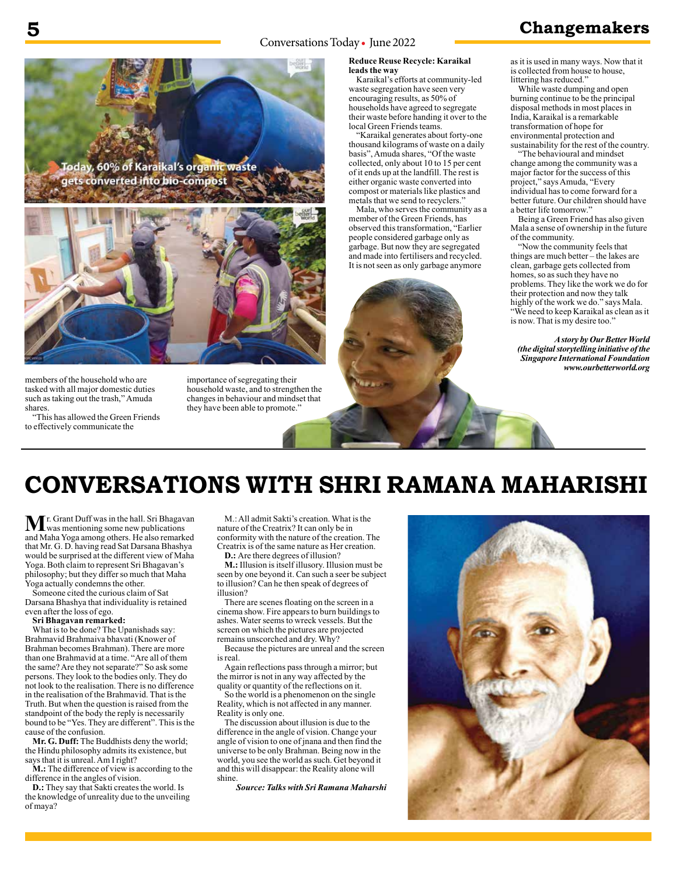#### Conversations Today • June 2022



members of the household who are tasked with all major domestic duties such as taking out the trash," Amuda shares.

"This has allowed the Green Friends to effectively communicate the

importance of segregating their household waste, and to strengthen the changes in behaviour and mindset that they have been able to promote.'

#### **Reduce Reuse Recycle: Karaikal leads the way**

Karaikal's efforts at community-led waste segregation have seen very encouraging results, as 50% of households have agreed to segregate their waste before handing it over to the local Green Friends teams.

"Karaikal generates about forty-one thousand kilograms of waste on a daily basis", Amuda shares, "Of the waste collected, only about 10 to 15 per cent of it ends up at the landfill. The rest is either organic waste converted into compost or materials like plastics and metals that we send to recyclers."

Mala, who serves the community as a member of the Green Friends, has observed this transformation, "Earlier people considered garbage only as garbage. But now they are segregated and made into fertilisers and recycled. It is not seen as only garbage anymore



as it is used in many ways. Now that it is collected from house to house, littering has reduced."

While waste dumping and open burning continue to be the principal disposal methods in most places in India, Karaikal is a remarkable transformation of hope for environmental protection and sustainability for the rest of the country.

"The behavioural and mindset change among the community was a major factor for the success of this project," says Amuda, "Every individual has to come forward for a better future. Our children should have a better life tomorrow."

Being a Green Friend has also given Mala a sense of ownership in the future of the community.

"Now the community feels that things are much better – the lakes are clean, garbage gets collected from homes, so as such they have no problems. They like the work we do for their protection and now they talk highly of the work we do." says Mala. "We need to keep Karaikal as clean as it is now. That is my desire too."

*A story by Our Better World (the digital storytelling initiative of the Singapore International Foundation www.ourbetterworld.org*

# **CONVERSATIONS WITH SHRI RAMANA MAHARISHI**

**M** r. Grant Duff was in the hall. Sri Bhagavan<br>was mentioning some new publications and Maha Yoga among others. He also remarked that Mr. G. D. having read Sat Darsana Bhashya would be surprised at the different view of Maha Yoga. Both claim to represent Sri Bhagavan's philosophy; but they differ so much that Maha Yoga actually condemns the other.

Someone cited the curious claim of Sat Darsana Bhashya that individuality is retained even after the loss of ego.

#### **Sri Bhagavan remarked:**

What is to be done? The Upanishads say: Brahmavid Brahmaiva bhavati (Knower of Brahman becomes Brahman). There are more than one Brahmavid at a time. "Are all of them the same? Are they not separate?" So ask some persons. They look to the bodies only. They do not look to the realisation. There is no difference in the realisation of the Brahmavid. That is the Truth. But when the question is raised from the standpoint of the body the reply is necessarily bound to be "Yes. They are different". This is the cause of the confusion.

**Mr. G. Duff:** The Buddhists deny the world; the Hindu philosophy admits its existence, but says that it is unreal. Am I right?

**M.:** The difference of view is according to the difference in the angles of vision.

**D.:** They say that Sakti creates the world. Is the knowledge of unreality due to the unveiling of maya?

M.: All admit Sakti's creation. What is the nature of the Creatrix? It can only be in conformity with the nature of the creation. The Creatrix is of the same nature as Her creation. **D.:** Are there degrees of illusion?

**M.:** Illusion is itself illusory. Illusion must be seen by one beyond it. Can such a seer be subject to illusion? Can he then speak of degrees of illusion?

There are scenes floating on the screen in a cinema show. Fire appears to burn buildings to ashes. Water seems to wreck vessels. But the screen on which the pictures are projected remains unscorched and dry. Why?

Because the pictures are unreal and the screen is real.

Again reflections pass through a mirror; but the mirror is not in any way affected by the quality or quantity of the reflections on it.

So the world is a phenomenon on the single Reality, which is not affected in any manner. Reality is only one.

The discussion about illusion is due to the difference in the angle of vision. Change your angle of vision to one of jnana and then find the universe to be only Brahman. Being now in the world, you see the world as such. Get beyond it and this will disappear: the Reality alone will shine.

*Source: Talks with Sri Ramana Maharshi*

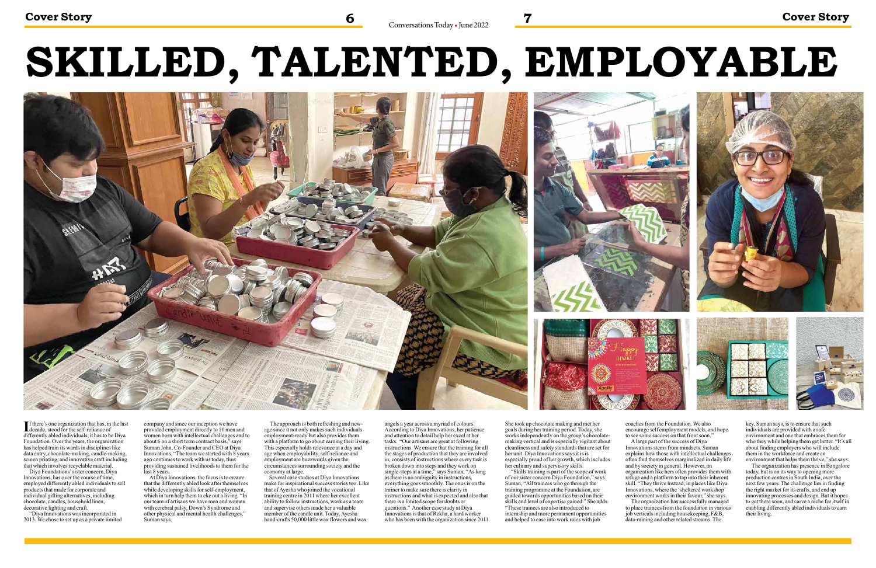**I I**decade, stood for the self-reliance of  $\blacksquare$  f there's one organization that has, in the last differently abled individuals, it has to be Diya Foundation. Over the years, the organization has helped train its wards in disciplines like data entry, chocolate-making, candle-making, screen printing, and innovative craft including that which involves recyclable material.

 Diya Foundations' sister concern, Diya Innovations, has over the course of time, employed differently abled individuals to sell products that made for corporate and individual gifting alternatives, including chocolate, candles, household linen, decorative lighting and craft.

 "Diya Innovations was incorporated in 2013. We chose to set up as a private limited company and since our inception we have provided employment directly to 10 men and women born with intellectual challenges and to about 6 on a short term contract basis," says Suman John, Co-Founder and CEO at Diya Innovations, "The team we started with 8 years ago continues to work with us today, thus providing sustained livelihoods to them for the last 8 years.

 At Diya Innovations, the focus is to ensure that the differently abled look after themselves while developing skills for self-employment, which in turn help them to eke out a living. "In our team of artisans we have men and women with cerebral palsy, Down's Syndrome and other physical and mental health challenges," Suman says.

 The approach is both refreshing and newage since it not only makes such individuals employment-ready but also provides them with a platform to go about earning their living. This especially holds relevance at a day and age when employability, self-reliance and employment are buzzwords given the circumstances surrounding society and the economy at large.

Several case studies at Diya Innovations make for inspirational success stories too. Like that of Ayesha who joined the vocational training centre in  $2011$  where her excellent ability to follow instructions, work as a team and supervise others made her a valuable member of the candle unit. Today, Ayesha hand-crafts 50,000 little wax flowers and wax

angels a year across a myriad of colours. According to Diya Innovations, her patience and attention to detail help her excel at her tasks. "Our artisans are great at following instructions. We ensure that the training for all the stages of production that they are involved in, consists of instructions where every task is broken down into steps and they work on single-steps at a time," says Suman, "As long as there is no ambiguity in instructions, everything goes smoothly. The onus is on the trainer to make sure there is clarity in instructions and what is expected and also that there is a limited scope for doubts or questions." Another case study at Diya Innovations is that of Rekha, a hard worker who has been with the organization since 2011.

She took up chocolate making and met her goals during her training period. Today, she works independently on the group's chocolatemaking vertical and is especially vigilant about cleanliness and safety standards that are set for her unit. Diya Innovations says it is is especially proud of her growth, which includes her culinary and supervisory skills. "Skills training is part of the scope of work of our sister concern Diya Foundation," says Suman, "All trainees who go through the training programme at the Foundation, are

guided towards opportunities based on their skills and level of expertise gained." She adds: "These trainees are also introduced to internship and more permanent opportunities and helped to ease into work roles with job

coaches from the Foundation. We also encourage self employment models, and hope to see some success on that front soon."

 A large part of the success of Diya Innovations stems from mindsets. Suman explains how those with intellectual challenges often find themselves marginalized in daily life and by society in general. However, an organization like hers often provides them with refuge and a platform to tap into their inherent skill. "They thrive instead, in places like Diya Innovations, where the 'sheltered workshop' environment works in their favour," she says.

 The organization has successfully managed to place trainees from the foundation in various job verticals including housekeeping, F&B, data-mining and other related streams. The

key, Suman says, is to ensure that such individuals are provided with a safe environment and one that embraces them for who they while helping them get better. "It's all about finding employers who will include them in the workforce and create an environment that helps them thrive," she says.

 The organization has presence in Bangalore today, but is on its way to opening more production centres in South India, over the next few years. The challenge lies in finding the right market for its crafts, and end up innovating processes and design. But it hopes to get there soon, and carve a niche for itself in enabling differently abled individuals to earn their living.

**SKILLED, TALENTED, EMPLOYABLE**

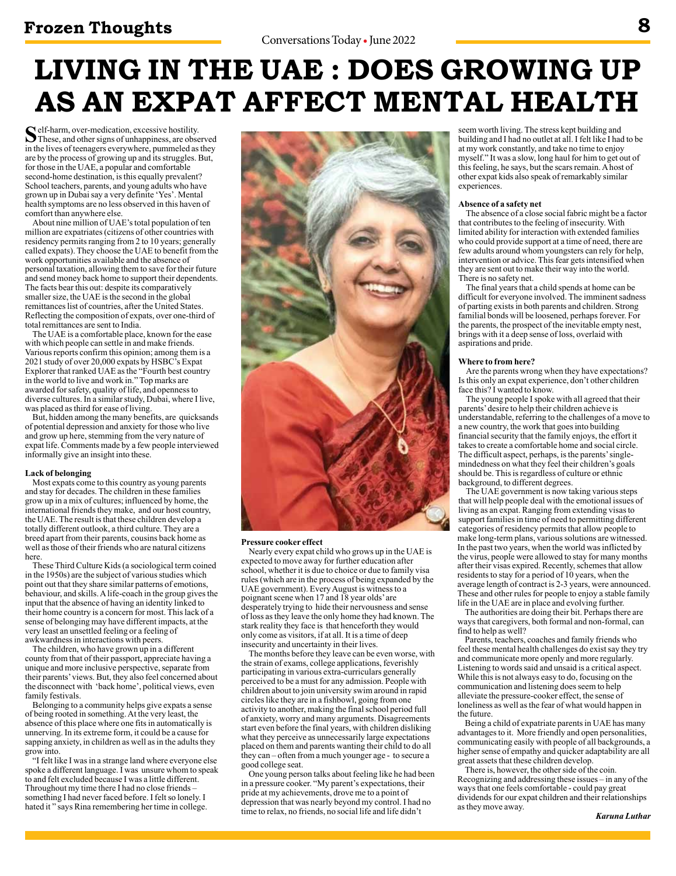# **LIVING IN THE UAE : DOES GROWING UP AS AN EXPAT AFFECT MENTAL HEALTH**

Self-harm, over-medication, excessive hostility.<br>These, and other signs of unhappiness, are observed<br>in the lives of technology eventualized as they in the lives of teenagers everywhere, pummeled as they are by the process of growing up and its struggles. But, for those in the UAE, a popular and comfortable second-home destination, is this equally prevalent? School teachers, parents, and young adults who have grown up in Dubai say a very definite 'Yes'. Mental health symptoms are no less observed in this haven of comfort than anywhere else.

About nine million of UAE's total population of ten million are expatriates (citizens of other countries with residency permits ranging from 2 to 10 years; generally called expats). They choose the UAE to benefit from the work opportunities available and the absence of personal taxation, allowing them to save for their future and send money back home to support their dependents. The facts bear this out: despite its comparatively smaller size, the UAE is the second in the global remittances list of countries, after the United States. Reflecting the composition of expats, over one-third of total remittances are sent to India.

The UAE is a comfortable place, known for the ease with which people can settle in and make friends. Various reports confirm this opinion; among them is a 2021 study of over 20,000 expats by HSBC's Expat Explorer that ranked UAE as the "Fourth best country in the world to live and work in." Top marks are awarded for safety, quality of life, and openness to diverse cultures. In a similar study, Dubai, where I live, was placed as third for ease of living.

But, hidden among the many benefits, are quicksands of potential depression and anxiety for those who live and grow up here, stemming from the very nature of expat life. Comments made by a few people interviewed informally give an insight into these.

#### **Lack of belonging**

Most expats come to this country as young parents and stay for decades. The children in these families grow up in a mix of cultures; influenced by home, the international friends they make, and our host country, the UAE. The result is that these children develop a totally different outlook, a third culture. They are a breed apart from their parents, cousins back home as well as those of their friends who are natural citizens here.

These Third Culture Kids (a sociological term coined in the 1950s) are the subject of various studies which point out that they share similar patterns of emotions, behaviour, and skills. A life-coach in the group gives the input that the absence of having an identity linked to their home country is a concern for most. This lack of a sense of belonging may have different impacts, at the very least an unsettled feeling or a feeling of awkwardness in interactions with peers.

The children, who have grown up in a different county from that of their passport, appreciate having a unique and more inclusive perspective, separate from their parents' views. But, they also feel concerned about the disconnect with 'back home', political views, even family festivals.

Belonging to a community helps give expats a sense of being rooted in something. At the very least, the absence of this place where one fits in automatically is unnerving. In its extreme form, it could be a cause for sapping anxiety, in children as well as in the adults they grow into.

"I felt like I was in a strange land where everyone else spoke a different language. I was unsure whom to speak to and felt excluded because I was a little different. Throughout my time there I had no close friends – something I had never faced before. I felt so lonely. I hated it " says Rina remembering her time in college.



#### **Pressure cooker effect**

Nearly every expat child who grows up in the UAE is expected to move away for further education after school, whether it is due to choice or due to family visa rules (which are in the process of being expanded by the UAE government). Every August is witness to a poignant scene when 17 and 18 year olds' are desperately trying to hide their nervousness and sense of loss as they leave the only home they had known. The stark reality they face is that henceforth they would only come as visitors, if at all. It is a time of deep insecurity and uncertainty in their lives.

The months before they leave can be even worse, with the strain of exams, college applications, feverishly participating in various extra-curriculars generally perceived to be a must for any admission. People with children about to join university swim around in rapid circles like they are in a fishbowl, going from one activity to another, making the final school period full of anxiety, worry and many arguments. Disagreements start even before the final years, with children disliking what they perceive as unnecessarily large expectations placed on them and parents wanting their child to do all they can – often from a much younger age - to secure a good college seat.

One young person talks about feeling like he had been in a pressure cooker. "My parent's expectations, their pride at my achievements, drove me to a point of depression that was nearly beyond my control. I had no time to relax, no friends, no social life and life didn't

seem worth living. The stress kept building and building and I had no outlet at all. I felt like I had to be at my work constantly, and take no time to enjoy myself." It was a slow, long haul for him to get out of this feeling, he says, but the scars remain. A host of other expat kids also speak of remarkably similar experiences.

#### **Absence of a safety net**

The absence of a close social fabric might be a factor that contributes to the feeling of insecurity. With limited ability for interaction with extended families who could provide support at a time of need, there are few adults around whom youngsters can rely for help, intervention or advice. This fear gets intensified when they are sent out to make their way into the world. There is no safety net.

The final years that a child spends at home can be difficult for everyone involved. The imminent sadness of parting exists in both parents and children. Strong familial bonds will be loosened, perhaps forever. For the parents, the prospect of the inevitable empty nest, brings with it a deep sense of loss, overlaid with aspirations and pride.

#### **Where to from here?**

Are the parents wrong when they have expectations? Is this only an expat experience, don't other children face this? I wanted to know.

The young people I spoke with all agreed that their parents' desire to help their children achieve is understandable, referring to the challenges of a move to a new country, the work that goes into building financial security that the family enjoys, the effort it takes to create a comfortable home and social circle. The difficult aspect, perhaps, is the parents' singlemindedness on what they feel their children's goals should be. This is regardless of culture or ethnic background, to different degrees.

The UAE government is now taking various steps that will help people deal with the emotional issues of living as an expat. Ranging from extending visas to support families in time of need to permitting different categories of residency permits that allow people to make long-term plans, various solutions are witnessed. In the past two years, when the world was inflicted by the virus, people were allowed to stay for many months after their visas expired. Recently, schemes that allow residents to stay for a period of 10 years, when the average length of contract is 2-3 years, were announced. These and other rules for people to enjoy a stable family life in the UAE are in place and evolving further.

The authorities are doing their bit. Perhaps there are ways that caregivers, both formal and non-formal, can find to help as well?

Parents, teachers, coaches and family friends who feel these mental health challenges do exist say they try and communicate more openly and more regularly. Listening to words said and unsaid is a critical aspect. While this is not always easy to do, focusing on the communication and listening does seem to help alleviate the pressure-cooker effect, the sense of loneliness as well as the fear of what would happen in the future.

Being a child of expatriate parents in UAE has many advantages to it. More friendly and open personalities, communicating easily with people of all backgrounds, a higher sense of empathy and quicker adaptability are all great assets that these children develop.

There is, however, the other side of the coin. Recognizing and addressing these issues – in any of the ways that one feels comfortable - could pay great dividends for our expat children and their relationships as they move away.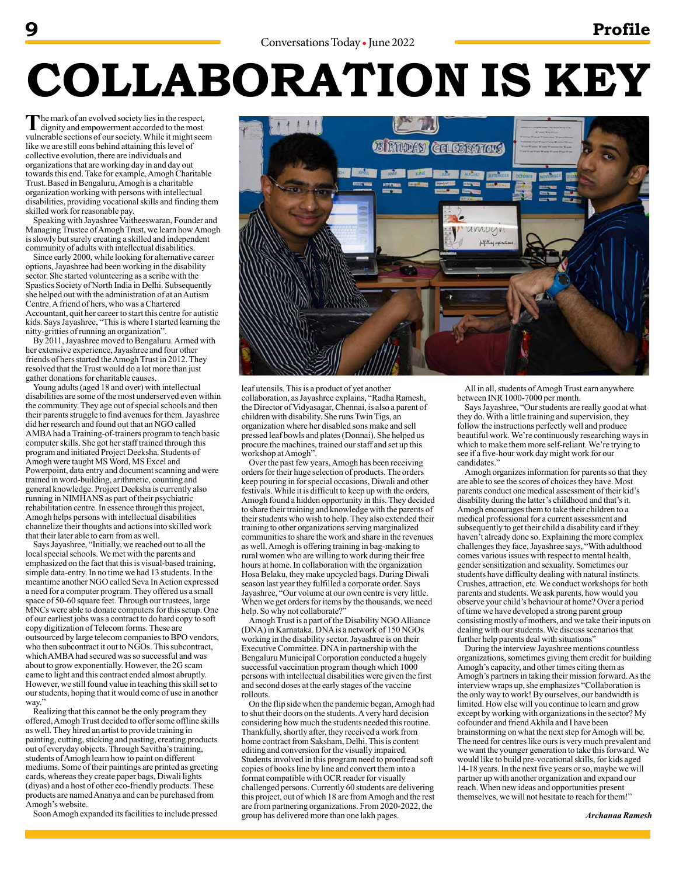# **COLLABORATION IS KEY**

The mark of an evolved society lies in the respect,<br>
dignity and empowerment accorded to the most<br>
values the sections of our society. While it might accorded vulnerable sections of our society. While it might seem like we are still eons behind attaining this level of collective evolution, there are individuals and organizations that are working day in and day out towards this end. Take for example, Amogh Charitable Trust. Based in Bengaluru, Amogh is a charitable organization working with persons with intellectual disabilities, providing vocational skills and finding them skilled work for reasonable pay.

Speaking with Jayashree Vaitheeswaran, Founder and Managing Trustee of Amogh Trust, we learn how Amogh is slowly but surely creating a skilled and independent community of adults with intellectual disabilities.

Since early 2000, while looking for alternative career options, Jayashree had been working in the disability sector. She started volunteering as a scribe with the Spastics Society of North India in Delhi. Subsequently she helped out with the administration of at an Autism Centre. A friend of hers, who was a Chartered Accountant, quit her career to start this centre for autistic kids. Says Jayashree, "This is where I started learning the nitty-gritties of running an organization".

By 2011, Jayashree moved to Bengaluru. Armed with her extensive experience, Jayashree and four other friends of hers started the Amogh Trust in 2012. They resolved that the Trust would do a lot more than just gather donations for charitable causes.

Young adults (aged 18 and over) with intellectual disabilities are some of the most underserved even within the community. They age out of special schools and then their parents struggle to find avenues for them. Jayashree did her research and found out that an NGO called AMBA had a Training-of-trainers program to teach basic computer skills. She got her staff trained through this program and initiated Project Deeksha. Students of Amogh were taught MS Word, MS Excel and Powerpoint, data entry and document scanning and were trained in word-building, arithmetic, counting and general knowledge. Project Deeksha is currently also running in NIMHANS as part of their psychiatric rehabilitation centre. In essence through this project, Amogh helps persons with intellectual disabilities channelize their thoughts and actions into skilled work that their later able to earn from as well.

Says Jayashree, "Initially, we reached out to all the local special schools. We met with the parents and emphasized on the fact that this is visual-based training, simple data-entry. In no time we had 13 students. In the meantime another NGO called Seva In Action expressed a need for a computer program. They offered us a small space of 50-60 square feet. Through our trustees, large MNCs were able to donate computers for this setup. One of our earliest jobs was a contract to do hard copy to soft copy digitization of Telecom forms. These are outsourced by large telecom companies to BPO vendors, who then subcontract it out to NGOs. This subcontract, which AMBA had secured was so successful and was about to grow exponentially. However, the 2G scam came to light and this contract ended almost abruptly. However, we still found value in teaching this skill set to our students, hoping that it would come of use in another way.'

Realizing that this cannot be the only program they offered, Amogh Trust decided to offer some offline skills as well. They hired an artist to provide training in painting, cutting, sticking and pasting, creating products out of everyday objects. Through Savitha's training, students of Amogh learn how to paint on different mediums. Some of their paintings are printed as greeting cards, whereas they create paper bags, Diwali lights (diyas) and a host of other eco-friendly products. These products are named Ananya and can be purchased from Amogh's website.

Soon Amogh expanded its facilities to include pressed



leaf utensils. This is a product of yet another collaboration, as Jayashree explains, "Radha Ramesh, the Director of Vidyasagar, Chennai, is also a parent of children with disability. She runs Twin Tigs, an organization where her disabled sons make and sell pressed leaf bowls and plates (Donnai). She helped us procure the machines, trained our staff and set up this workshop at Amogh".

Over the past few years, Amogh has been receiving orders for their huge selection of products. The orders keep pouring in for special occasions, Diwali and other festivals. While it is difficult to keep up with the orders, Amogh found a hidden opportunity in this. They decided to share their training and knowledge with the parents of their students who wish to help. They also extended their training to other organizations serving marginalized communities to share the work and share in the revenues as well. Amogh is offering training in bag-making to rural women who are willing to work during their free hours at home. In collaboration with the organization Hosa Belaku, they make upcycled bags. During Diwali season last year they fulfilled a corporate order. Says Jayashree, "Our volume at our own centre is very little. When we get orders for items by the thousands, we need help. So why not collaborate?"

Amogh Trust is a part of the Disability NGO Alliance (DNA) in Karnataka. DNA is a network of 150 NGOs working in the disability sector. Jayashree is on their Executive Committee. DNA in partnership with the Bengaluru Municipal Corporation conducted a hugely successful vaccination program though which 1000 persons with intellectual disabilities were given the first and second doses at the early stages of the vaccine rollouts.

On the flip side when the pandemic began, Amogh had to shut their doors on the students. A very hard decision considering how much the students needed this routine. Thankfully, shortly after, they received a work from home contract from Saksham, Delhi. This is content editing and conversion for the visually impaired. Students involved in this program need to proofread soft copies of books line by line and convert them into a format compatible with OCR reader for visually challenged persons. Currently 60 students are delivering this project, out of which 18 are from Amogh and the rest are from partnering organizations. From 2020-2022, the group has delivered more than one lakh pages.

All in all, students of Amogh Trust earn anywhere between INR 1000-7000 per month.

Says Jayashree, "Our students are really good at what they do. With a little training and supervision, they follow the instructions perfectly well and produce beautiful work. We're continuously researching ways in which to make them more self-reliant. We're trying to see if a five-hour work day might work for our candidates.'

Amogh organizes information for parents so that they are able to see the scores of choices they have. Most parents conduct one medical assessment of their kid's disability during the latter's childhood and that's it. Amogh encourages them to take their children to a medical professional for a current assessment and subsequently to get their child a disability card if they haven't already done so. Explaining the more complex challenges they face, Jayashree says, "With adulthood comes various issues with respect to mental health, gender sensitization and sexuality. Sometimes our students have difficulty dealing with natural instincts. Crushes, attraction, etc. We conduct workshops for both parents and students. We ask parents, how would you observe your child's behaviour at home? Over a period of time we have developed a strong parent group consisting mostly of mothers, and we take their inputs on dealing with our students. We discuss scenarios that further help parents deal with situations"

During the interview Jayashree mentions countless organizations, sometimes giving them credit for building Amogh's capacity, and other times citing them as Amogh's partners in taking their mission forward. As the interview wraps up, she emphasizes "Collaboration is the only way to work! By ourselves, our bandwidth is limited. How else will you continue to learn and grow except by working with organizations in the sector? My cofounder and friend Akhila and I have been brainstorming on what the next step for Amogh will be. The need for centres like ours is very much prevalent and we want the younger generation to take this forward. We would like to build pre-vocational skills, for kids aged 14-18 years. In the next five years or so, maybe we will partner up with another organization and expand our reach. When new ideas and opportunities present themselves, we will not hesitate to reach for them!"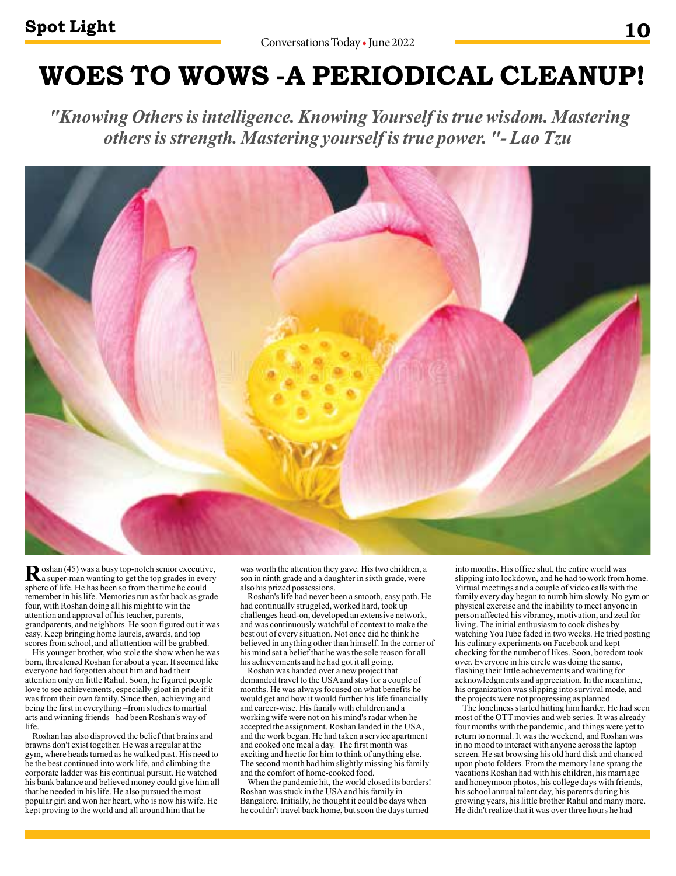# **WOES TO WOWS -A PERIODICAL CLEANUP!**

 *"Knowing Others is intelligence. Knowing Yourself is true wisdom. Mastering others is strength. Mastering yourself is true power. "- Lao Tzu*



**R**oshan (45) was a busy top-notch senior executive,<br>a super-man wanting to get the top grades in every sphere of life. He has been so from the time he could remember in his life. Memories run as far back as grade four, with Roshan doing all his might to win the attention and approval of his teacher, parents, grandparents, and neighbors. He soon figured out it was easy. Keep bringing home laurels, awards, and top scores from school, and all attention will be grabbed.

His younger brother, who stole the show when he was born, threatened Roshan for about a year. It seemed like everyone had forgotten about him and had their attention only on little Rahul. Soon, he figured people love to see achievements, especially gloat in pride if it was from their own family. Since then, achieving and being the first in everything –from studies to martial arts and winning friends –had been Roshan's way of life.

Roshan has also disproved the belief that brains and brawns don't exist together. He was a regular at the gym, where heads turned as he walked past. His need to be the best continued into work life, and climbing the corporate ladder was his continual pursuit. He watched his bank balance and believed money could give him all that he needed in his life. He also pursued the most popular girl and won her heart, who is now his wife. He kept proving to the world and all around him that he

was worth the attention they gave. His two children, a son in ninth grade and a daughter in sixth grade, were also his prized possessions.

Roshan's life had never been a smooth, easy path. He had continually struggled, worked hard, took up challenges head-on, developed an extensive network, and was continuously watchful of context to make the best out of every situation. Not once did he think he believed in anything other than himself. In the corner of his mind sat a belief that he was the sole reason for all his achievements and he had got it all going.

Roshan was handed over a new project that demanded travel to the USA and stay for a couple of months. He was always focused on what benefits he would get and how it would further his life financially and career-wise. His family with children and a working wife were not on his mind's radar when he accepted the assignment. Roshan landed in the USA, and the work began. He had taken a service apartment and cooked one meal a day. The first month was exciting and hectic for him to think of anything else. The second month had him slightly missing his family and the comfort of home-cooked food.

When the pandemic hit, the world closed its borders! Roshan was stuck in the USA and his family in Bangalore. Initially, he thought it could be days when he couldn't travel back home, but soon the days turned

into months. His office shut, the entire world was slipping into lockdown, and he had to work from home. Virtual meetings and a couple of video calls with the family every day began to numb him slowly. No gym or physical exercise and the inability to meet anyone in person affected his vibrancy, motivation, and zeal for living. The initial enthusiasm to cook dishes by watching YouTube faded in two weeks. He tried posting his culinary experiments on Facebook and kept checking for the number of likes. Soon, boredom took over. Everyone in his circle was doing the same, flashing their little achievements and waiting for acknowledgments and appreciation. In the meantime, his organization was slipping into survival mode, and the projects were not progressing as planned.

The loneliness started hitting him harder. He had seen most of the OTT movies and web series. It was already four months with the pandemic, and things were yet to return to normal. It was the weekend, and Roshan was in no mood to interact with anyone across the laptop screen. He sat browsing his old hard disk and chanced upon photo folders. From the memory lane sprang the vacations Roshan had with his children, his marriage and honeymoon photos, his college days with friends, his school annual talent day, his parents during his growing years, his little brother Rahul and many more. He didn't realize that it was over three hours he had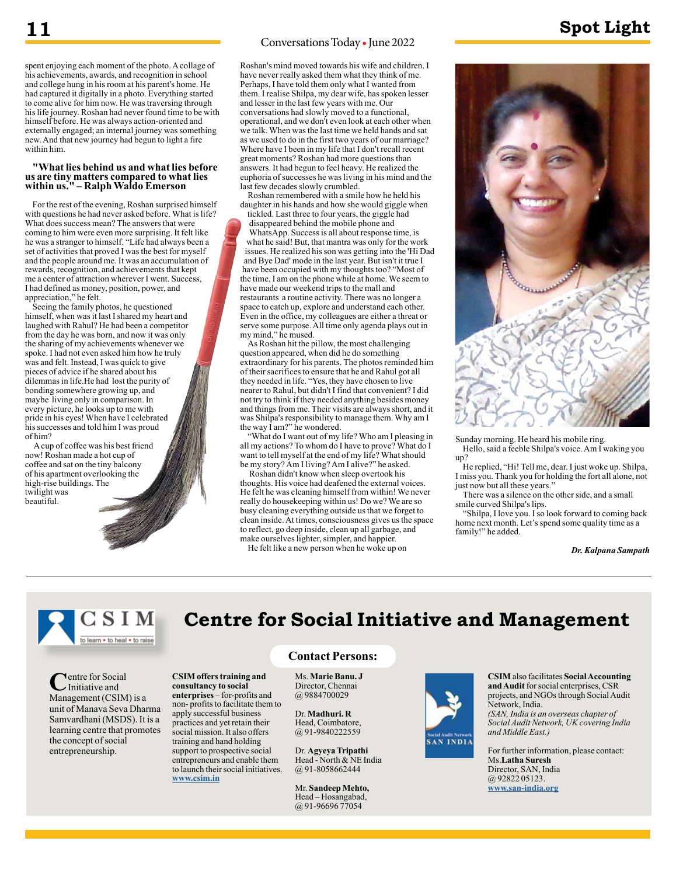Conversations Today • June 2022

spent enjoying each moment of the photo. A collage of his achievements, awards, and recognition in school and college hung in his room at his parent's home. He had captured it digitally in a photo. Everything started to come alive for him now. He was traversing through his life journey. Roshan had never found time to be with himself before. He was always action-oriented and externally engaged; an internal journey was something new. And that new journey had begun to light a fire within him.

#### **"What lies behind us and what lies before us are tiny matters compared to what lies within us." – Ralph Waldo Emerson**

For the rest of the evening, Roshan surprised himself with questions he had never asked before. What is life? What does success mean? The answers that were coming to him were even more surprising. It felt like he was a stranger to himself. "Life had always been a set of activities that proved I was the best for myself and the people around me. It was an accumulation of rewards, recognition, and achievements that kept me a center of attraction wherever I went. Success, I had defined as money, position, power, and appreciation," he felt.

Seeing the family photos, he questioned himself, when was it last I shared my heart and laughed with Rahul? He had been a competitor from the day he was born, and now it was only the sharing of my achievements whenever we spoke. I had not even asked him how he truly was and felt. Instead, I was quick to give pieces of advice if he shared about his dilemmas in life.He had lost the purity of bonding somewhere growing up, and maybe living only in comparison. In every picture, he looks up to me with pride in his eyes! When have I celebrated his successes and told him I was proud of him?

 A cup of coffee was his best friend now! Roshan made a hot cup of coffee and sat on the tiny balcony of his apartment overlooking the high-rise buildings. The twilight was beautiful.

Roshan's mind moved towards his wife and children. I have never really asked them what they think of me. Perhaps, I have told them only what I wanted from them. I realise Shilpa, my dear wife, has spoken lesser and lesser in the last few years with me. Our conversations had slowly moved to a functional, operational, and we don't even look at each other when we talk. When was the last time we held hands and sat as we used to do in the first two years of our marriage? Where have I been in my life that I don't recall recent great moments? Roshan had more questions than answers. It had begun to feel heavy. He realized the euphoria of successes he was living in his mind and the last few decades slowly crumbled.

Roshan remembered with a smile how he held his daughter in his hands and how she would giggle when tickled. Last three to four years, the giggle had

disappeared behind the mobile phone and WhatsApp. Success is all about response time, is what he said! But, that mantra was only for the work issues. He realized his son was getting into the 'Hi Dad and Bye Dad' mode in the last year. But isn't it true I have been occupied with my thoughts too? "Most of the time, I am on the phone while at home. We seem to have made our weekend trips to the mall and restaurants a routine activity. There was no longer a space to catch up, explore and understand each other. Even in the office, my colleagues are either a threat or serve some purpose. All time only agenda plays out in my mind," he mused.

As Roshan hit the pillow, the most challenging question appeared, when did he do something extraordinary for his parents. The photos reminded him of their sacrifices to ensure that he and Rahul got all they needed in life. "Yes, they have chosen to live nearer to Rahul, but didn't I find that convenient? I did not try to think if they needed anything besides money and things from me. Their visits are always short, and it was Shilpa's responsibility to manage them. Why am I the way I am?" he wondered.

"What do I want out of my life? Who am I pleasing in all my actions? To whom do I have to prove? What do I want to tell myself at the end of my life? What should be my story? Am I living? Am I alive?" he asked.

 Roshan didn't know when sleep overtook his thoughts. His voice had deafened the external voices. He felt he was cleaning himself from within! We never really do housekeeping within us! Do we? We are so busy cleaning everything outside us that we forget to clean inside. At times, consciousness gives us the space to reflect, go deep inside, clean up all garbage, and make ourselves lighter, simpler, and happier. He felt like a new person when he woke up on



Sunday morning. He heard his mobile ring. Hello, said a feeble Shilpa's voice. Am I waking you

up? He replied, "Hi! Tell me, dear. I just woke up. Shilpa, I miss you. Thank you for holding the fort all alone, not just now but all these years.'

There was a silence on the other side, and a small smile curved Shilpa's lips.

"Shilpa, I love you. I so look forward to coming back home next month. Let's spend some quality time as a family!" he added.

*Dr. Kalpana Sampath* 



**Lentre for Social** Initiative and Management (CSIM) is a unit of Manava Seva Dharma Samvardhani (MSDS). It is a learning centre that promotes the concept of social entrepreneurship.

### **Centre for Social Initiative and Management**

#### **Contact Persons:**

Ms. **Marie Banu. J** Director, Chennai @ 9884700029

**CSIM offers training and consultancy to social enterprises** – for-profits and non- profits to facilitate them to apply successful business practices and yet retain their social mission. It also offers training and hand holding support to prospective social entrepreneurs and enable them to launch their social initiatives.

**www.csim.in**

Dr. **Madhuri. R** Head, Coimbatore, @ 91-9840222559

Dr. **Agyeya Tripathi**  Head - North & NE India @ 91-8058662444

Mr. **Sandeep Mehto,** Head – Hosangabad, @ 91-96696 77054



**CSIM** also facilitates **Social Accounting and Audit** for social enterprises, CSR projects, and NGOs through Social Audit Network, India. *(SAN, India is an overseas chapter of* 

*Social Audit Network, UK covering India and Middle East.)*

For further information, please contact: Ms.**Latha Suresh**  Director, SAN, India @ 92822 05123. **www.san-india.org**